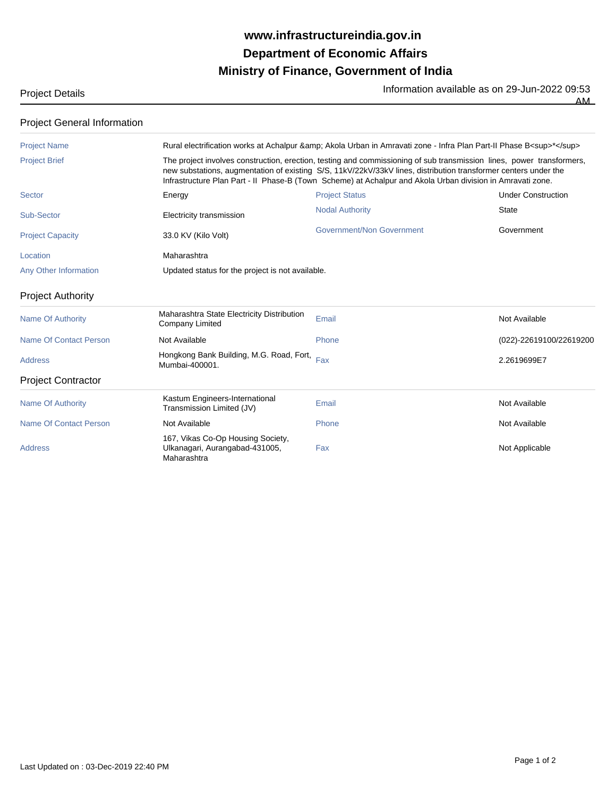## **Ministry of Finance, Government of India Department of Economic Affairs www.infrastructureindia.gov.in**

Project Details **Information available as on 29-Jun-2022** 09:53

AM

| <b>Project Name</b>           |                                                                                                                                                                                                                                                                                                                                                        | Rural electrification works at Achalpur & Akola Urban in Amravati zone - Infra Plan Part-II Phase B <sup>*</sup> |                           |
|-------------------------------|--------------------------------------------------------------------------------------------------------------------------------------------------------------------------------------------------------------------------------------------------------------------------------------------------------------------------------------------------------|------------------------------------------------------------------------------------------------------------------|---------------------------|
| <b>Project Brief</b>          | The project involves construction, erection, testing and commissioning of sub transmission lines, power transformers,<br>new substations, augmentation of existing S/S, 11kV/22kV/33kV lines, distribution transformer centers under the<br>Infrastructure Plan Part - II Phase-B (Town Scheme) at Achalpur and Akola Urban division in Amravati zone. |                                                                                                                  |                           |
| <b>Sector</b>                 | Energy                                                                                                                                                                                                                                                                                                                                                 | <b>Project Status</b>                                                                                            | <b>Under Construction</b> |
| Sub-Sector                    | Electricity transmission                                                                                                                                                                                                                                                                                                                               | <b>Nodal Authority</b>                                                                                           | <b>State</b>              |
| <b>Project Capacity</b>       | 33.0 KV (Kilo Volt)                                                                                                                                                                                                                                                                                                                                    | Government/Non Government                                                                                        | Government                |
| Location                      | Maharashtra                                                                                                                                                                                                                                                                                                                                            |                                                                                                                  |                           |
| Any Other Information         | Updated status for the project is not available.                                                                                                                                                                                                                                                                                                       |                                                                                                                  |                           |
| <b>Project Authority</b>      |                                                                                                                                                                                                                                                                                                                                                        |                                                                                                                  |                           |
| <b>Name Of Authority</b>      | Maharashtra State Electricity Distribution<br><b>Company Limited</b>                                                                                                                                                                                                                                                                                   | Email                                                                                                            | Not Available             |
| <b>Name Of Contact Person</b> | Not Available                                                                                                                                                                                                                                                                                                                                          | Phone                                                                                                            | (022)-22619100/22619200   |
| <b>Address</b>                | Hongkong Bank Building, M.G. Road, Fort,<br>Mumbai-400001.                                                                                                                                                                                                                                                                                             | Fax                                                                                                              | 2.2619699E7               |
| <b>Project Contractor</b>     |                                                                                                                                                                                                                                                                                                                                                        |                                                                                                                  |                           |
| <b>Name Of Authority</b>      | Kastum Engineers-International<br>Transmission Limited (JV)                                                                                                                                                                                                                                                                                            | Email                                                                                                            | Not Available             |
| Name Of Contact Person        | Not Available                                                                                                                                                                                                                                                                                                                                          | Phone                                                                                                            | Not Available             |
| Address                       | 167, Vikas Co-Op Housing Society,<br>Ulkanagari, Aurangabad-431005,<br>Maharashtra                                                                                                                                                                                                                                                                     | Fax                                                                                                              | Not Applicable            |